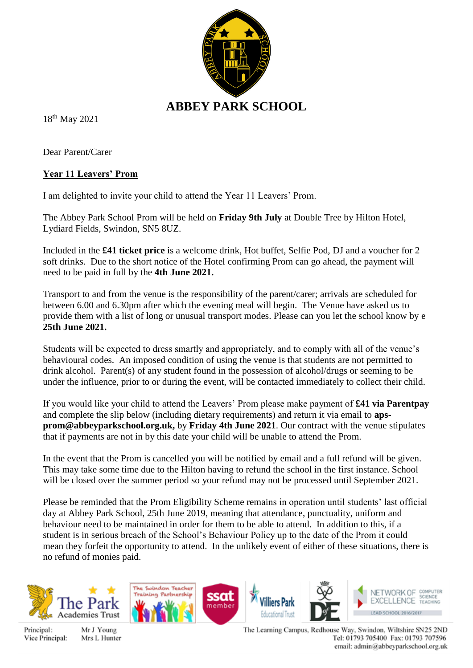

18th May 2021

Dear Parent/Carer

## **Year 11 Leavers' Prom**

I am delighted to invite your child to attend the Year 11 Leavers' Prom.

The Abbey Park School Prom will be held on **Friday 9th July** at Double Tree by Hilton Hotel, Lydiard Fields, Swindon, SN5 8UZ.

Included in the **£41 ticket price** is a welcome drink, Hot buffet, Selfie Pod, DJ and a voucher for 2 soft drinks. Due to the short notice of the Hotel confirming Prom can go ahead, the payment will need to be paid in full by the **4th June 2021.**

Transport to and from the venue is the responsibility of the parent/carer; arrivals are scheduled for between 6.00 and 6.30pm after which the evening meal will begin. The Venue have asked us to provide them with a list of long or unusual transport modes. Please can you let the school know by e **25th June 2021.**

Students will be expected to dress smartly and appropriately, and to comply with all of the venue's behavioural codes. An imposed condition of using the venue is that students are not permitted to drink alcohol. Parent(s) of any student found in the possession of alcohol/drugs or seeming to be under the influence, prior to or during the event, will be contacted immediately to collect their child.

If you would like your child to attend the Leavers' Prom please make payment of **£41 via Parentpay** and complete the slip below (including dietary requirements) and return it via email to **apsprom@abbeyparkschool.org.uk,** by **Friday 4th June 2021**. Our contract with the venue stipulates that if payments are not in by this date your child will be unable to attend the Prom.

In the event that the Prom is cancelled you will be notified by email and a full refund will be given. This may take some time due to the Hilton having to refund the school in the first instance. School will be closed over the summer period so your refund may not be processed until September 2021.

Please be reminded that the Prom Eligibility Scheme remains in operation until students' last official day at Abbey Park School, 25th June 2019, meaning that attendance, punctuality, uniform and behaviour need to be maintained in order for them to be able to attend. In addition to this, if a student is in serious breach of the School's Behaviour Policy up to the date of the Prom it could mean they forfeit the opportunity to attend. In the unlikely event of either of these situations, there is no refund of monies paid.

ssat

member





Mr J Young Mrs L Hunter The Saludow Teacher

Training Partnership

The Learning Campus, Redhouse Way, Swindon, Wiltshire SN25 2ND Tel: 01793 705400 Fax: 01793 707596 email: admin@abbeyparkschool.org.uk

NETWORK OF COMPUTER

EXCELLENCE SCIENCE

LEAD SCHOOL 2016/2017